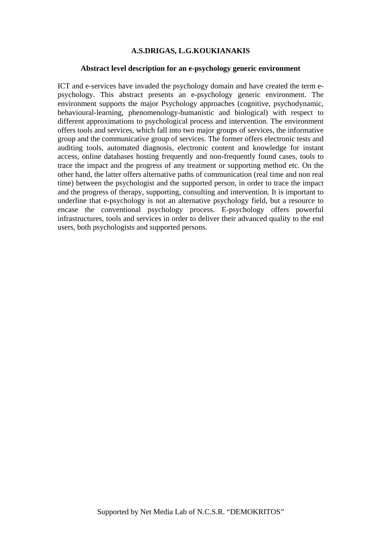#### **A.S.DRIGAS, L.G.KOUKIANAKIS**

#### **Abstract level description for an e-psychology generic environment**

ICT and e-services have invaded the psychology domain and have created the term epsychology. This abstract presents an e-psychology generic environment. The environment supports the major Psychology approaches (cognitive, psychodynamic, behavioural-learning, phenomenology-humanistic and biological) with respect to different approximations to psychological process and intervention. The environment offers tools and services, which fall into two major groups of services, the informative group and the communicative group of services. The former offers electronic tests and auditing tools, automated diagnosis, electronic content and knowledge for instant access, online databases hosting frequently and non-frequently found cases, tools to trace the impact and the progress of any treatment or supporting method etc. On the other hand, the latter offers alternative paths of communication (real time and non real time) between the psychologist and the supported person, in order to trace the impact and the progress of therapy, supporting, consulting and intervention. It is important to underline that e-psychology is not an alternative psychology field, but a resource to encase the conventional psychology process. E-psychology offers powerful infrastructures, tools and services in order to deliver their advanced quality to the end users, both psychologists and supported persons.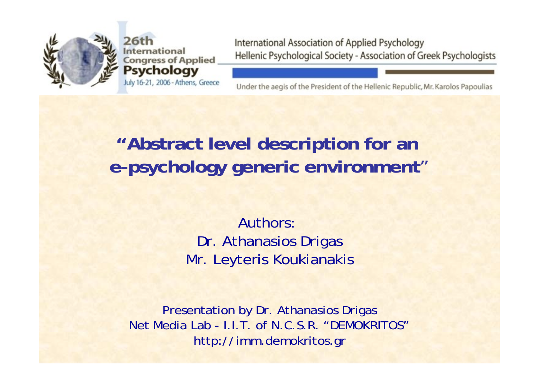

ational **Congress of Applied Psychology** July 16-21, 2006 - Athens, Greece International Association of Applied Psychology Hellenic Psychological Society - Association of Greek Psychologists

Under the aegis of the President of the Hellenic Republic, Mr. Karolos Papoulias

## **"Abstract level description for an e-psychology generic environment** "

Authors: Dr. Athanasios Drigas Mr. Leyteris Koukianakis

Presentation by Dr. Athanasios Drigas Net Media Lab - I.I.T. of N.C.S.R. "DEMOKRITOS"http://imm.demok ritos.gr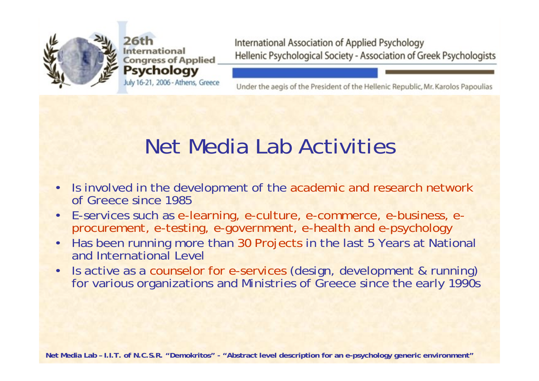

nternational **Congress of Applied Psychology** July 16-21, 2006 - Athens, Greece International Association of Applied Psychology Hellenic Psychological Society - Association of Greek Psychologists

Under the aegis of the President of the Hellenic Republic, Mr. Karolos Papoulias

# Net Media Lab Activities

- • Is involved in the development of the academic and research network of Greece since 1985
- •E-services such as e-learning, e-culture, e-commerce, e-business, eprocurement, e-testing, e-government, e-health and e-psychology
- • Has been running more than 30 Projects in the last 5 Years at National and International Level
- •• Is active as a counselor for e-services (design, development & running) for various organizations and Ministries of Greece since the early 1990s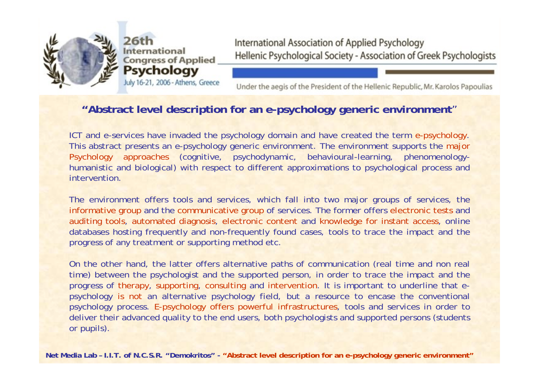

July 16-21, 2006 - Athens, Greece

International Association of Applied Psychology Hellenic Psychological Society - Association of Greek Psychologists

Under the aegis of the President of the Hellenic Republic, Mr. Karolos Papoulias

#### **"Abstract level description for an e-psychology generic environment**"

ICT and e-services have invaded the psychology domain and have created the term e-psychology. This abstract presents an e-psychology generic environment. The environment supports the major Psychology approaches (cognitive, psychodynamic, behavioural-learning, phenomenologyhumanistic and biological) with respect to different approximations to psychological process and intervention.

The environment offers tools and services, which fall into two major groups of services, the informative group and the communicative group of services. The former offers electronic tests and auditing tools, automated diagnosis, electronic content and knowledge for instant access, online databases hosting frequently and non-frequently found cases, tools to trace the impact and the progress of any treatment or supporting method etc.

On the other hand, the latter offers alternative paths of communication (real time and non real time) between the psychologist and the supported person, in order to trace the impact and the progress of therapy, supporting, consulting and intervention. It is important to underline that epsychology is not an alternative psychology field, but a resource to encase the conventional psychology process. E-psychology offers powerful infrastructures, tools and services in order to deliver their advanced quality to the end users, both psychologists and supported persons (students or pupils).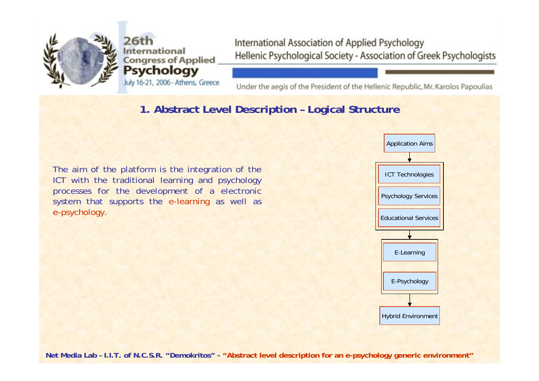

26th nternational **Congress of Applied Psychology** July 16-21, 2006 - Athens, Greece International Association of Applied Psychology Hellenic Psychological Society - Association of Greek Psychologists

Under the aegis of the President of the Hellenic Republic, Mr. Karolos Papoulias

## **1. Abstract Level Description – Logical Structure**

The aim of the platform is the integration o f the ICT with the traditional learning and psychology processes for the development of a electronic system that supports the e-learning as well as e-psychology.

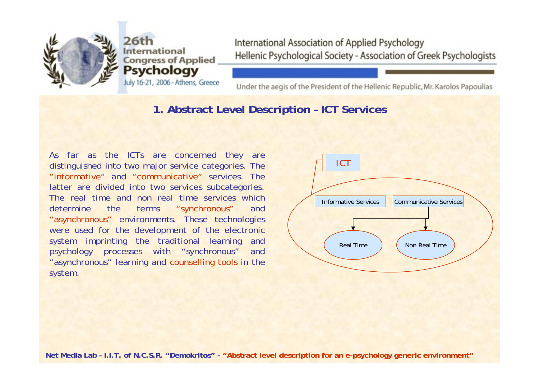

26th **International Congress of Applied** Psychology July 16-21, 2006 - Athens, Greece International Association of Applied Psychology Hellenic Psychological Society - Association of Greek Psychologists

Under the aegis of the President of the Hellenic Republic, Mr. Karolos Papoulias

#### **1. Abstract Level Description – ICT Services**

As far as the ICTs are concerned they are distinguished into two major service categorie s. The "informative" and "communicative" services. The latter are divided into two services subcategories. The real time and non real time services which determine the terms ms "synchronous" and "asynchronous" environments. These technologies were used for the development of the electronic system imprinting the traditional learning and psychology processes with "synchronous" and "asynchronous" learning and counselling tools in the system.

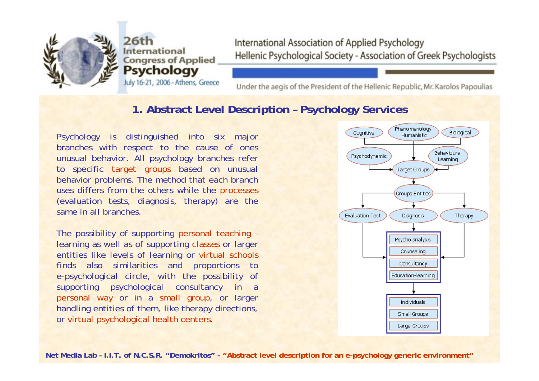

July 16-21, 2006 - Athens, Greece

International Association of Applied Psychology Hellenic Psychological Society - Association of Greek Psychologists

Under the aegis of the President of the Hellenic Republic, Mr. Karolos Papoulias

#### **1. Abstract Level Description – Psychology Services**

Psychology is distinguished into six major branches with respect to the cause of ones unusual behavior. All psychology branches refer to specific target groups based on unusual behavior problems. The method that each branch uses differs from the others while the processes (evaluation tests, diagnosis, therapy) are the same in all branches.

The possibility of supporting personal teaching – learning as well as of supporting classes or larger entities like levels of learning or virtual schools finds also similarities and proportions to e-psychological circle, with the possibility of supporting psychological consultancy in a personal way or in a small group, or larger handling entities of them, like therapy directions, or virtual psychological health centers.

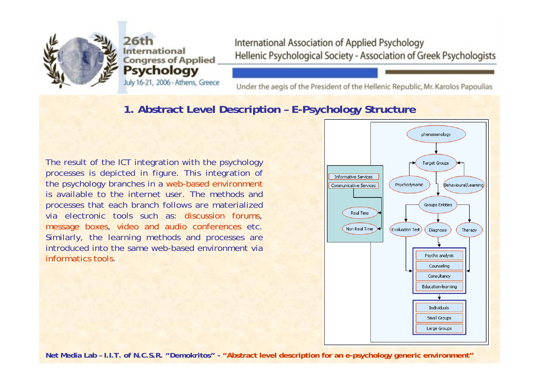

26th nternational **Congress of Applied Psychology** July 16-21, 2006 - Athens, Greece International Association of Applied Psychology Hellenic Psychological Society - Association of Greek Psychologists

Under the aegis of the President of the Hellenic Republic, Mr. Karolos Papoulias

## **1. Abstract Level Description – E-Psychology Structure**

The result of the ICT integration with the psychology processes is depicted in figure. This integration of the psych ology branches in a web-based envir onment is available to the internet user. The methods and processes that e ach branch follows are materializedvia electronic tools such as: discussion forums, message boxes, video and audio conferences etc. Similarly, the learning methods and processes are introduced into the same web-based environment via informatics tools.

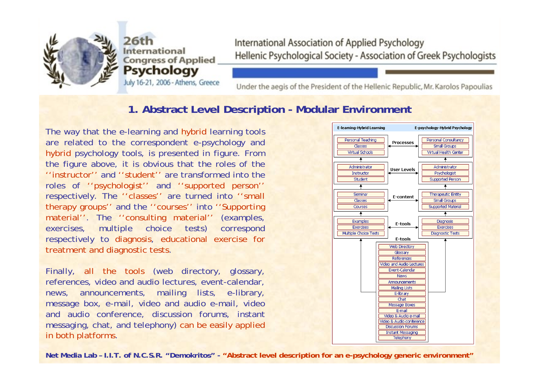

July 16-21, 2006 - Athens, Greece

International Association of Applied Psychology Hellenic Psychological Society - Association of Greek Psychologists

Under the aegis of the President of the Hellenic Republic, Mr. Karolos Papoulias

#### **1. Abstract Level Description - M o dular E nvironment**

The way that the e-learning and hybrid learning tools are rel ated to the correspondent e-psychology and hybrid psychology tools, is presented in figur e. From the figur e above, it is obvious that the roles of the ''instructor'' and ''student'' are transformed into theroles of ''psychologist'' and ''supported person'' respectively. The ''classes'' ar e turned into ''small therapy groups'' and the ''courses'' into ''Supporting material''. The "consulting material" (examples, exercises, multiple choice tests) correspond respectively to diagnosis, educational exercise for treatment and diagnostic tests.

Finally, all the tools (web directory, glossary, references, video and audio lectures, event-calendar, news, announcements, mailing lists, e-library, message box, e-mail, video and audio e-mail, video and audio conference, discussion forums, instant messaging, chat, and telephony) can be easily applied in both platforms.

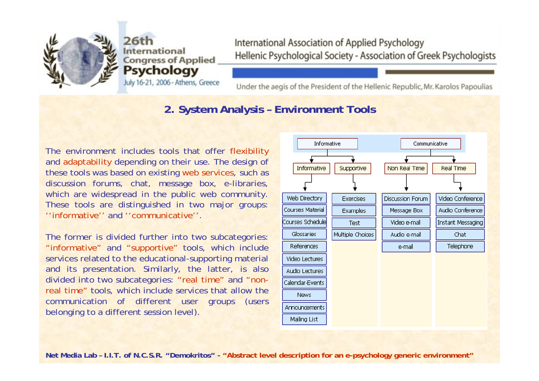

July 16-21, 2006 - Athens, Greece

International Association of Applied Psychology Hellenic Psychological Society - Association of Greek Psychologists

Under the aegis of the President of the Hellenic Republic, Mr. Karolos Papoulias

#### **2. System Analysis – Environment Tools**

The environment includes tools that offer flexibility and adaptability depending on their use. The design of these tools was based on existing web services, such as discussion forums, chat, message box, e-libraries, which are widespread in the public web community. These tools are distinguished in two major groups: ''informative'' and ''communicative''.

The former is divided further into two subcategories: "informative" and "supportive" tools, which include services related to the educational-supporting material and its presentation. Similarly, the latter, is also divided into two subcategories: "real time" and "nonreal time" tools, which include services that allow the communication of different user groups (users belonging to a different session level).

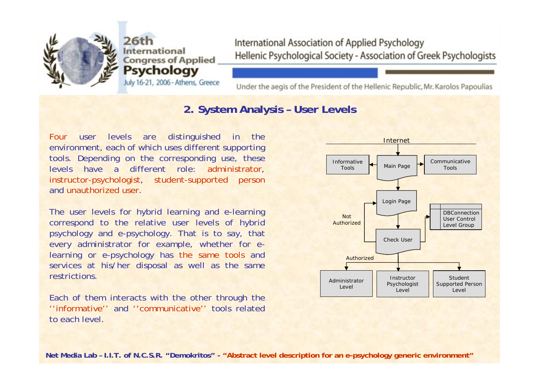

July 16-21, 2006 - Athens, Greece

International Association of Applied Psychology Hellenic Psychological Society - Association of Greek Psychologists

Under the aegis of the President of the Hellenic Republic, Mr. Karolos Papoulias

#### **2. System Analysis – User Levels**

Four user levels are distinguished in the environment, each of which uses different supporting tools. Depending on the corresponding use, these levels have a different role: administrator, instructor-psychologist, student-supported person and unauthorized user.

The user levels for hybrid learning and e-learning correspond to the relative user levels of hybrid psychology and e-psychology. That is to say, that every administrator for example, whether for elearning or e-psychology has the same tools and services at his/her disposal as well as the same restrictions.

Each of them interacts with the other through the ''informative'' and ''communicative'' tools relatedto each level.

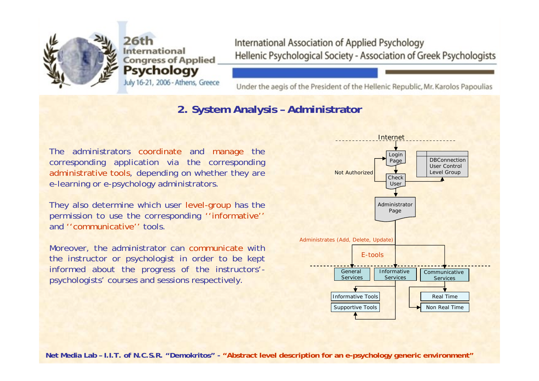

July 16-21, 2006 - Athens, Greece

International Association of Applied Psychology Hellenic Psychological Society - Association of Greek Psychologists

Under the aegis of the President of the Hellenic Republic, Mr. Karolos Papoulias

#### **2. System Analysis – Administrator**

The administrators coordinate and manage the corresponding application via the corresponding administrative tools, depending on whether they are e-learning or e-psychology administrators.

They also determine which user level-group has the permission to use the corresponding ''informative'' and ''communicative'' tools.

Moreover, the administrator can communicate with the instructor or psychologist in order to be kept informed about the progress of the instructors' psychologists' courses and sessions respectively.

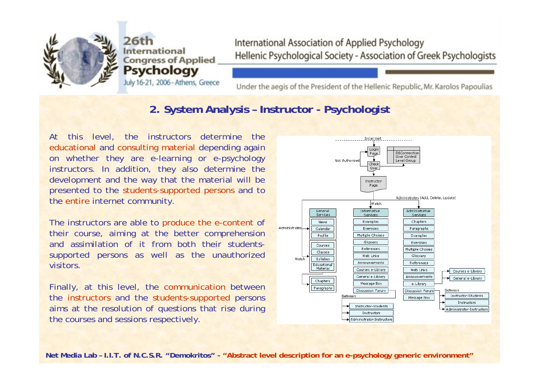

July 16-21, 2006 - Athens, Greece

International Association of Applied Psychology Hellenic Psychological Society - Association of Greek Psychologists

Under the aegis of the President of the Hellenic Republic, Mr. Karolos Papoulias

#### **2. System Analysis – Instructor - Psychologist**

At this level, the instructors determine the educational and consulting material depending again on whether they are e-learning or e-psychology instructors. In addition, they also determine the development and the way that the material will be presented to the students-supported persons and to the entire internet community.

The instructors are able to produce the e-content of their course, aiming at the better comprehension and assimilation of it from both their studentssupported persons as well as the unauthorized visitors.

Finally, at this level, the communication between the instructors and the students-supported persons aims at the resolution of questions that rise during the courses and sessions respectively.

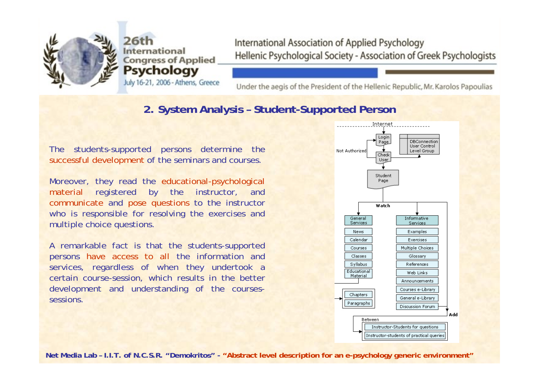

July 16-21, 2006 - Athens, Greece

International Association of Applied Psychology Hellenic Psychological Society - Association of Greek Psychologists

Under the aegis of the President of the Hellenic Republic, Mr. Karolos Papoulias

#### **2. System Analysis – Student-Supported Person**

The students-supported persons determine the successful development of the seminars and courses.

Moreover, they read the educational-psychological material registered by the instructor, and communicate and pose questions to the instructor who is responsible for resolving the exercises and multiple choice questions.

A remarkable fact is that the students-supported persons have access to all the information and services, regardless of when they undertook a certain course-session, which results in the better development and understanding of the coursessessions.

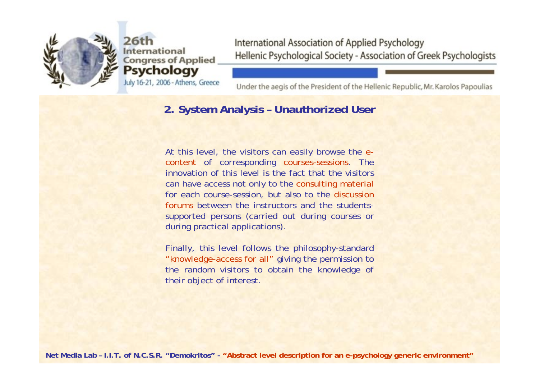

July 16-21, 2006 - Athens, Greece

International Association of Applied Psychology Hellenic Psychological Society - Association of Greek Psychologists

Under the aegis of the President of the Hellenic Republic, Mr. Karolos Papoulias

#### **2. System Analysis – Unauthorized User**

At this level, the visitors can easily browse the econtent of corresponding courses-sessions. The innovation of this level is the fact that the visitors can have access not only to the consulting material for each course-session, but also to the discussion forums between the instructors and the studentssupported persons (carried out during courses or during practical applications).

Finally, this level follows the philosophy-standard "knowledge-access for all" giving the permission to the random visitors to obtain the knowledge of their object of interest.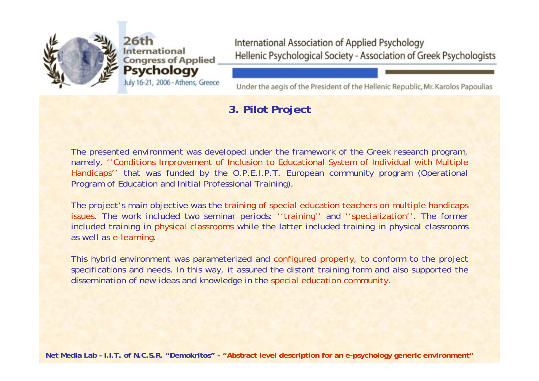

ternational **Congress of Applied** Psychology July 16-21, 2006 - Athens, Greece

International Association of Applied Psychology Hellenic Psychological Society - Association of Greek Psychologists

Under the aegis of the President of the Hellenic Republic, Mr. Karolos Papoulias

## **3. Pilot Project**

The presented environment was developed under the framework of the Greek research program, namely, ''Conditions Improvement of Inclusion to Educational System of Individual with Multiple Handicaps'' that was funded by the O.P.E.I.P.T. European community program (Operational Program of Education and Initial Professional Training).

The project's main objective was the training of special education teachers on multiple handicaps issues. The work included two seminar periods: ''training'' and ''specialization''. The former included training in physical classrooms while the latter included training in physical classrooms as well as e-learning.

This hybrid environment was parameterized and configured properly, to conform to the project specifications and needs. In this way, it assured the distant training form and also supported the dissemination of new ideas and knowledge in the special education community.